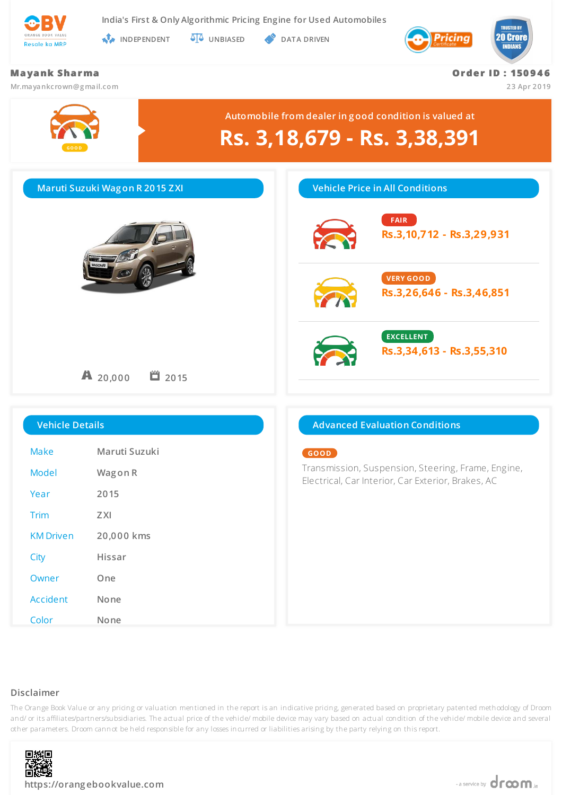

**India's First & Only Algorithmic Pricing Engine for Used Automobiles**

**INDEPENDENT UNBIASED DATA DRIVEN** 



# **Ma ya nk Sha r ma Mr.mayankcrown@g mail.com Or de r ID : 150 9 4 6 23 Apr 2019 GO O D Automobile from dealer in g ood condition is valued at Rs. 3,18,679 - Rs. 3,38,391 Maruti Suzuki Wag on R 2015 ZXI 20,000 2015 Vehicle Price in All Conditions FAIR Rs.3,10,712 - Rs.3,29,931 VERY GOOD Rs.3,26,646 - Rs.3,46,851 EXCELLENT Rs.3,34,613 - Rs.3,55,310 Vehicle Details** Make **Maruti Suzuki** Model **Wag on R** Year **2015** Trim **ZXI** KM Driven **20,000 kms** City **Hissar** Owner **One** Accident **None Advanced Evaluation Conditions GOOD** Transmission, Suspension, Steering, Frame, Engine, Electrical, Car Interior, Car Exterior, Brakes, AC

### **Disclaimer**

The Orange Book Value or any pricing or valuation mentioned in the report is an indicative pricing, generated based on proprietary patented methodology of Droom and/ or its affiliates/partners/subsidiaries. The actual price of the vehicle/ mobile device may vary based on actual condition of the vehicle/ mobile device and several other parameters. Droom cannot be held responsible for any losses incurred or liabilities arising by the party relying on this report.



Color **None**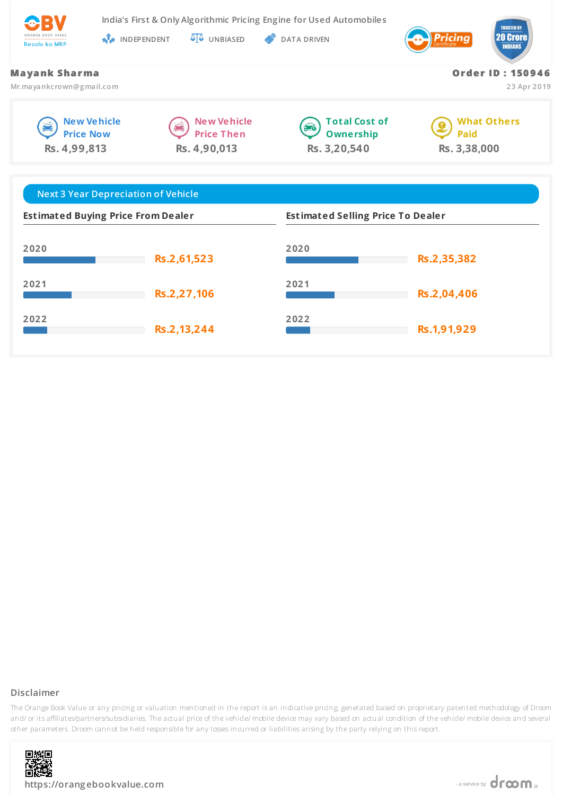

**India's First & Only Algorithmic Pricing Engine for Used Automobiles**

**INDEPENDENT UNBIASED DATA DRIVEN** 



**Or de r ID : 150 9 4 6**

**23 Apr 2019**

### **Ma ya nk Sha r ma**

**Mr.mayankcrown@g mail.com**







**What Others** ø **Paid Rs. 3,38,000**

| <b>Next 3 Year Depreciation of Vehicle</b> |             |                                          |             |
|--------------------------------------------|-------------|------------------------------------------|-------------|
| <b>Estimated Buying Price From Dealer</b>  |             | <b>Estimated Selling Price To Dealer</b> |             |
| 2020                                       | Rs.2,61,523 | 2020                                     | Rs.2,35,382 |
| 2021                                       | Rs.2,27,106 | 2021                                     | Rs.2,04,406 |
| 2022                                       | Rs.2,13,244 | 2022                                     | Rs.1,91,929 |

## **Disclaimer**



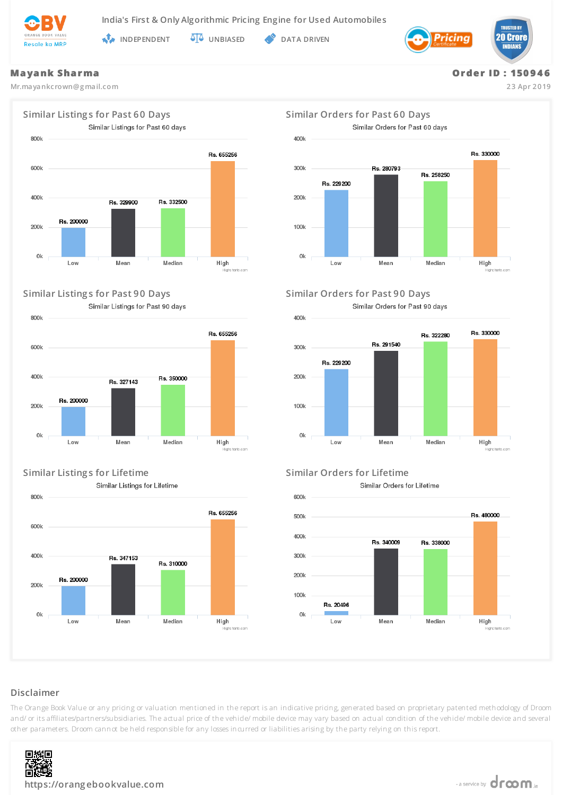

**INDEPENDENT UNBIASED OF** DATA DRIVEN

Ok



### **Ma ya nk Sha r ma**

**Mr.mayankcrown@g mail.com**

**Or de r ID : 150 9 4 6**

**23 Apr 2019**



### **Similar Listing s for Past 90 Days Similar Orders for Past 90 Days**

Similar Listings for Past 90 days



# **Similar Listing s for Lifetime Similar Orders for Lifetime**

Similar Listings for Lifetime



Similar Orders for Past 60 days 400<sub>k</sub> Rs. 330000 300<sub>k</sub> Rs 280793 Rs. 258250 Rs. 229200 200k  $100k$ 

Low

Similar Orders for Past 90 days

Mean

Median

High



Similar Orders for Lifetime



# **Disclaimer**



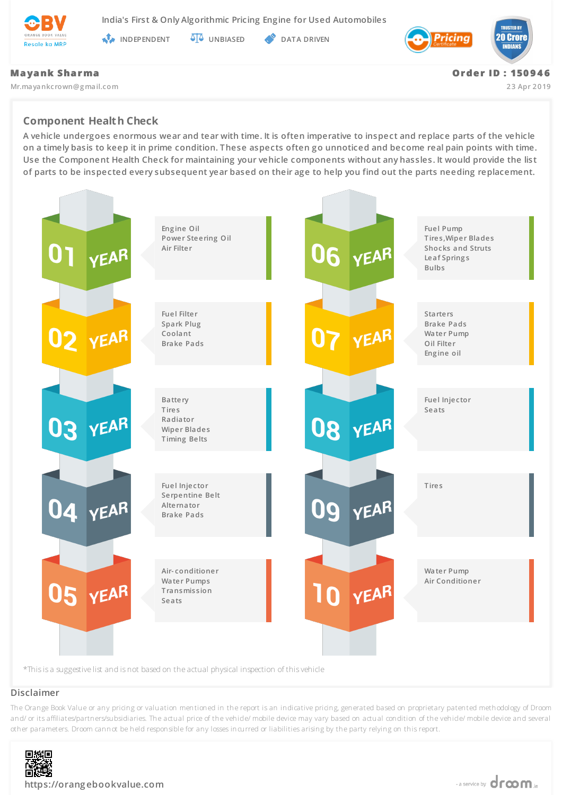

**India's First & Only Algorithmic Pricing Engine for Used Automobiles**

**INDEPENDENT AT UNBIASED PATA DRIVEN** 



### **Ma ya nk Sha r ma**

**Mr.mayankcrown@g mail.com**

**Or de r ID : 150 9 4 6**

**23 Apr 2019**

# **Component Health Check**

**A vehicle undergoes enormous wear and tear with time. It is often imperative to inspect and replace parts of the vehicle on a timely basis to keep it in prime condition. These aspects often go unnoticed and become real pain points with time. Use the Component Health Check for maintaining your vehicle components without any hassles. It would provide the list of parts to be inspected every subsequent year based on their age to help you find out the parts needing replacement.**



### **Disclaimer**